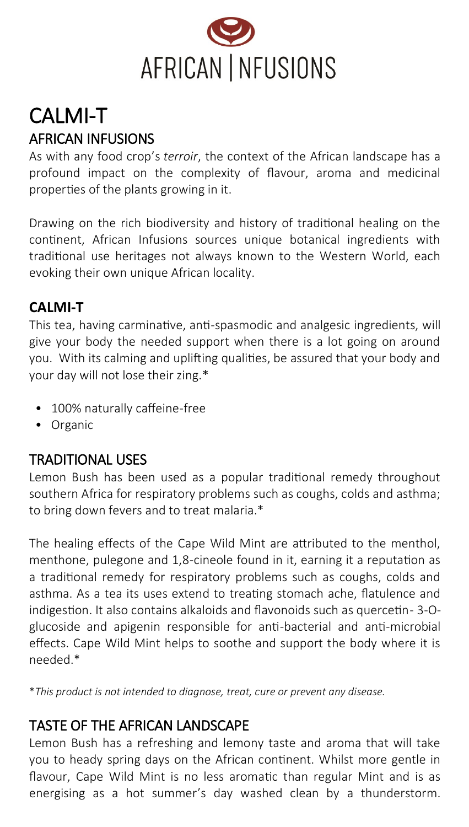

# CALMI-T AFRICAN INFUSIONS

As with any food crop's *terroir*, the context of the African landscape has a profound impact on the complexity of flavour, aroma and medicinal properties of the plants growing in it.

Drawing on the rich biodiversity and history of traditional healing on the continent, African Infusions sources unique botanical ingredients with traditional use heritages not always known to the Western World, each evoking their own unique African locality.

### **CALMI-T**

This tea, having carminative, anti-spasmodic and analgesic ingredients, will give your body the needed support when there is a lot going on around you. With its calming and uplifting qualities, be assured that your body and your day will not lose their zing.\*

- 100% naturally caffeine-free
- Organic

## TRADITIONAL USES

Lemon Bush has been used as a popular traditional remedy throughout southern Africa for respiratory problems such as coughs, colds and asthma; to bring down fevers and to treat malaria.\*

The healing effects of the Cape Wild Mint are attributed to the menthol, menthone, pulegone and 1,8-cineole found in it, earning it a reputation as a traditional remedy for respiratory problems such as coughs, colds and asthma. As a tea its uses extend to treating stomach ache, flatulence and indigestion. It also contains alkaloids and flavonoids such as quercetin- 3-Oglucoside and apigenin responsible for anti-bacterial and anti-microbial effects. Cape Wild Mint helps to soothe and support the body where it is needed.\*

\**This product is not intended to diagnose, treat, cure or prevent any disease.*

### TASTE OF THE AFRICAN LANDSCAPE

Lemon Bush has a refreshing and lemony taste and aroma that will take you to heady spring days on the African continent. Whilst more gentle in flavour, Cape Wild Mint is no less aromatic than regular Mint and is as energising as a hot summer's day washed clean by a thunderstorm.